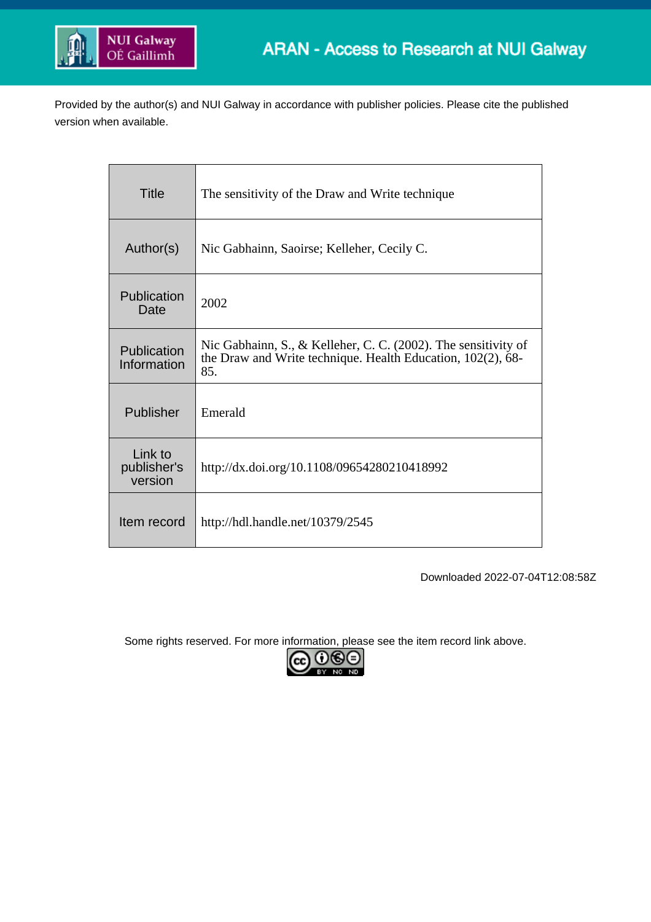

Provided by the author(s) and NUI Galway in accordance with publisher policies. Please cite the published version when available.

| Title                             | The sensitivity of the Draw and Write technique                                                                                         |
|-----------------------------------|-----------------------------------------------------------------------------------------------------------------------------------------|
| Author(s)                         | Nic Gabhainn, Saoirse; Kelleher, Cecily C.                                                                                              |
| Publication<br>Date               | 2002                                                                                                                                    |
| Publication<br>Information        | Nic Gabhainn, S., & Kelleher, C. C. (2002). The sensitivity of<br>the Draw and Write technique. Health Education, $102(2)$ , 68-<br>85. |
| Publisher                         | Emerald                                                                                                                                 |
| Link to<br>publisher's<br>version | http://dx.doi.org/10.1108/09654280210418992                                                                                             |
| Item record                       | http://hdl.handle.net/10379/2545                                                                                                        |

Downloaded 2022-07-04T12:08:58Z

Some rights reserved. For more information, please see the item record link above.

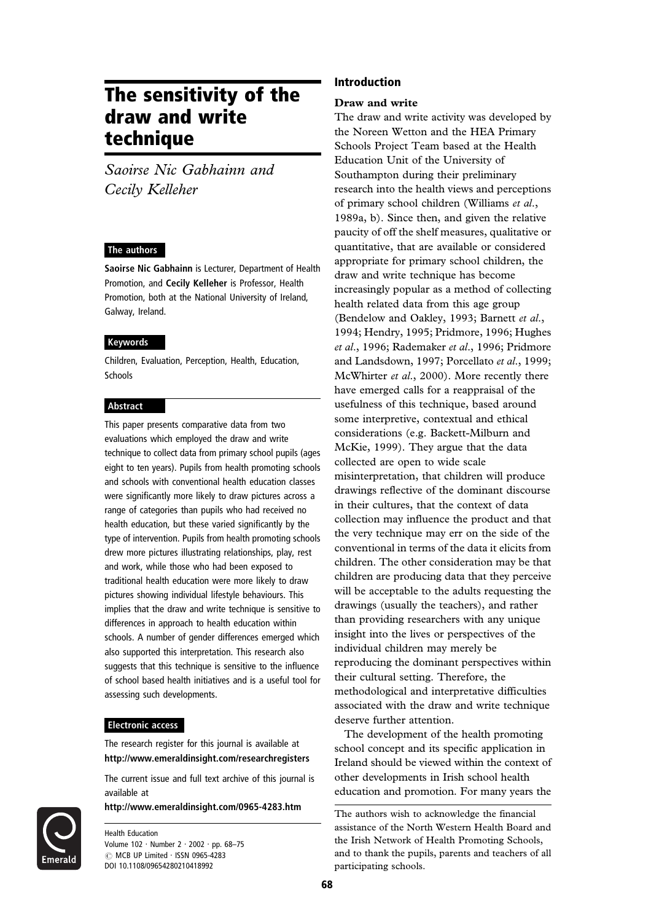# The sensitivity of the draw and write technique

Saoirse Nic Gabhainn and Cecily Kelleher

#### The authors

Saoirse Nic Gabhainn is Lecturer, Department of Health Promotion, and Cecily Kelleher is Professor, Health Promotion, both at the National University of Ireland, Galway, Ireland.

#### **Keywords**

Children, Evaluation, Perception, Health, Education, Schools

#### **Abstract**

This paper presents comparative data from two evaluations which employed the draw and write technique to collect data from primary school pupils (ages eight to ten years). Pupils from health promoting schools and schools with conventional health education classes were significantly more likely to draw pictures across a range of categories than pupils who had received no health education, but these varied significantly by the type of intervention. Pupils from health promoting schools drew more pictures illustrating relationships, play, rest and work, while those who had been exposed to traditional health education were more likely to draw pictures showing individual lifestyle behaviours. This implies that the draw and write technique is sensitive to differences in approach to health education within schools. A number of gender differences emerged which also supported this interpretation. This research also suggests that this technique is sensitive to the influence of school based health initiatives and is a useful tool for assessing such developments.

### **Electronic access**

The research register for this journal is available at http://www.emeraldinsight.com/researchregisters

The current issue and full text archive of this journal is available at

http://www.emeraldinsight.com/0965-4283.htm



**Health Education** Volume 102 · Number 2 · 2002 · pp. 68-75 © MCB UP Limited · ISSN 0965-4283 DOI 10.1108/09654280210418992

## **Introduction**

## Draw and write

The draw and write activity was developed by the Noreen Wetton and the HEA Primary Schools Project Team based at the Health Education Unit of the University of Southampton during their preliminary research into the health views and perceptions of primary school children (Williams et al., 1989a, b). Since then, and given the relative paucity of off the shelf measures, qualitative or quantitative, that are available or considered appropriate for primary school children, the draw and write technique has become increasingly popular as a method of collecting health related data from this age group (Bendelow and Oakley, 1993; Barnett et al., 1994; Hendry, 1995; Pridmore, 1996; Hughes et al., 1996; Rademaker et al., 1996; Pridmore and Landsdown, 1997; Porcellato et al., 1999; McWhirter et al., 2000). More recently there have emerged calls for a reappraisal of the usefulness of this technique, based around some interpretive, contextual and ethical considerations (e.g. Backett-Milburn and McKie, 1999). They argue that the data collected are open to wide scale misinterpretation, that children will produce drawings reflective of the dominant discourse in their cultures, that the context of data collection may influence the product and that the very technique may err on the side of the conventional in terms of the data it elicits from children. The other consideration may be that children are producing data that they perceive will be acceptable to the adults requesting the drawings (usually the teachers), and rather than providing researchers with any unique insight into the lives or perspectives of the individual children may merely be reproducing the dominant perspectives within their cultural setting. Therefore, the methodological and interpretative difficulties associated with the draw and write technique deserve further attention.

The development of the health promoting school concept and its specific application in Ireland should be viewed within the context of other developments in Irish school health education and promotion. For many years the

The authors wish to acknowledge the financial assistance of the North Western Health Board and the Irish Network of Health Promoting Schools, and to thank the pupils, parents and teachers of all participating schools.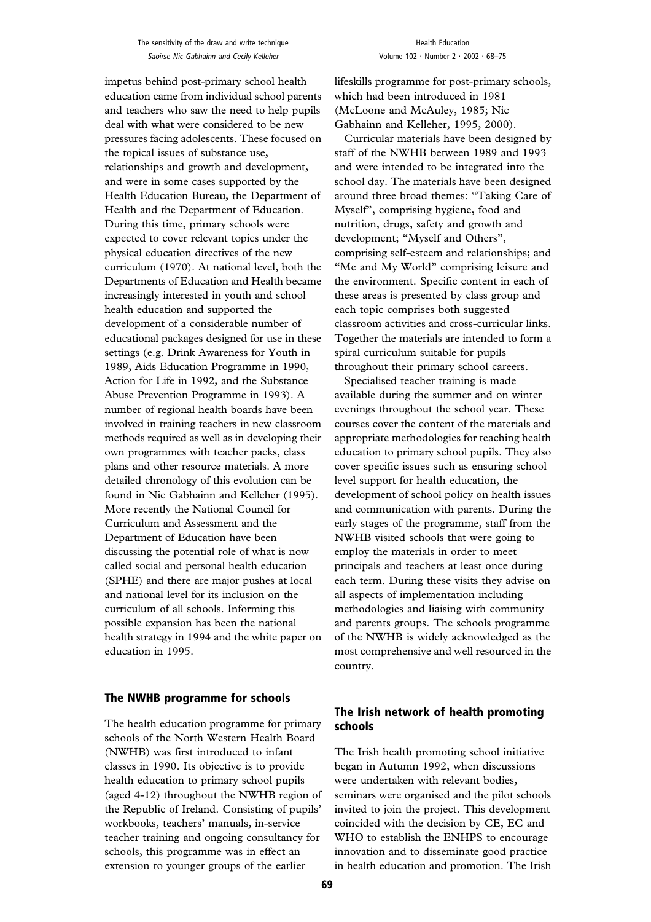impetus behind post-primary school health education came from individual school parents and teachers who saw the need to help pupils deal with what were considered to be new pressures facing adolescents. These focused on the topical issues of substance use, relationships and growth and development, and were in some cases supported by the Health Education Bureau, the Department of Health and the Department of Education. During this time, primary schools were expected to cover relevant topics under the physical education directives of the new curriculum (1970). At national level, both the Departments of Education and Health became increasingly interested in youth and school health education and supported the development of a considerable number of educational packages designed for use in these settings (e.g. Drink Awareness for Youth in 1989, Aids Education Programme in 1990, Action for Life in 1992, and the Substance Abuse Prevention Programme in 1993). A number of regional health boards have been involved in training teachers in new classroom methods required as well as in developing their own programmes with teacher packs, class plans and other resource materials. A more detailed chronology of this evolution can be found in Nic Gabhainn and Kelleher (1995). More recently the National Council for Curriculum and Assessment and the Department of Education have been discussing the potential role of what is now called social and personal health education (SPHE) and there are major pushes at local and national level for its inclusion on the curriculum of all schools. Informing this possible expansion has been the national health strategy in 1994 and the white paper on education in 1995.

# The NWHB programme for schools

The health education programme for primary schools of the North Western Health Board (NWHB) was first introduced to infant classes in 1990. Its objective is to provide health education to primary school pupils (aged 4-12) throughout the NWHB region of the Republic of Ireland. Consisting of pupils' workbooks, teachers' manuals, in-service teacher training and ongoing consultancy for schools, this programme was in effect an extension to younger groups of the earlier

lifeskills programme for post-primary schools, which had been introduced in 1981 (McLoone and McAuley, 1985; Nic Gabhainn and Kelleher, 1995, 2000).

Curricular materials have been designed by staff of the NWHB between 1989 and 1993 and were intended to be integrated into the school day. The materials have been designed around three broad themes: "Taking Care of Myself", comprising hygiene, food and nutrition, drugs, safety and growth and development; "Myself and Others", comprising self-esteem and relationships; and "Me and My World" comprising leisure and the environment. Specific content in each of these areas is presented by class group and each topic comprises both suggested classroom activities and cross-curricular links. Together the materials are intended to form a spiral curriculum suitable for pupils throughout their primary school careers.

Specialised teacher training is made available during the summer and on winter evenings throughout the school year. These courses cover the content of the materials and appropriate methodologies for teaching health education to primary school pupils. They also cover specific issues such as ensuring school level support for health education, the development of school policy on health issues and communication with parents. During the early stages of the programme, staff from the NWHB visited schools that were going to employ the materials in order to meet principals and teachers at least once during each term. During these visits they advise on all aspects of implementation including methodologies and liaising with community and parents groups. The schools programme of the NWHB is widely acknowledged as the most comprehensive and well resourced in the country.

# The Irish network of health promoting schools

The Irish health promoting school initiative began in Autumn 1992, when discussions were undertaken with relevant bodies, seminars were organised and the pilot schools invited to join the project. This development coincided with the decision by CE, EC and WHO to establish the ENHPS to encourage innovation and to disseminate good practice in health education and promotion. The Irish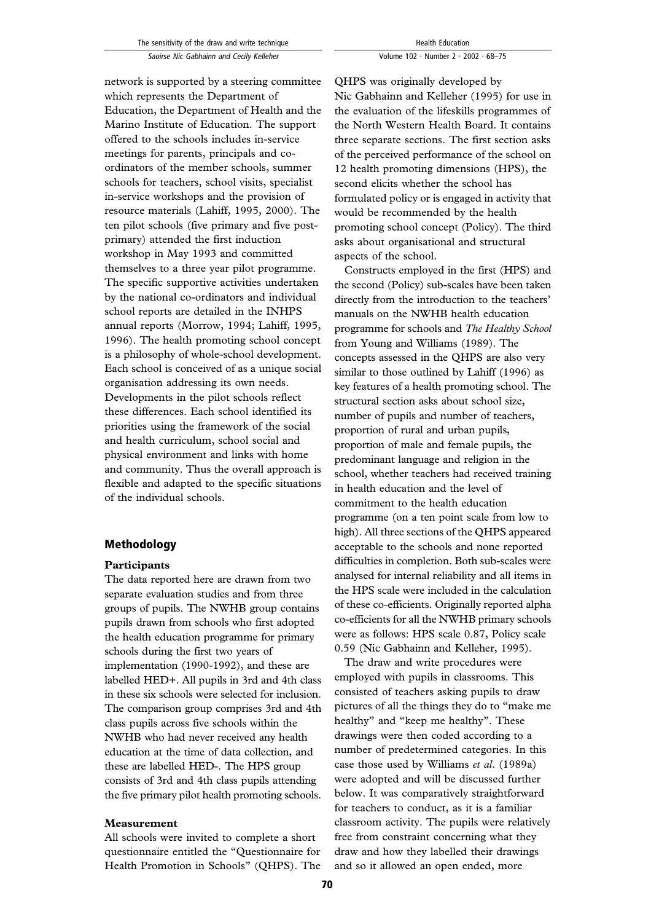network is supported by a steering committee. which represents the Department of Education, the Department of Health and the Marino Institute of Education. The support offered to the schools includes in-service meetings for parents, principals and coordinators of the member schools, summer schools for teachers, school visits, specialist in-service workshops and the provision of resource materials (Lahiff, 1995, 2000). The ten pilot schools (five primary and five postprimary) attended the first induction workshop in May 1993 and committed themselves to a three year pilot programme. The specific supportive activities undertaken by the national co-ordinators and individual school reports are detailed in the INHPS annual reports (Morrow, 1994; Lahiff, 1995, 1996). The health promoting school concept is a philosophy of whole-school development. Each school is conceived of as a unique social organisation addressing its own needs. Developments in the pilot schools reflect these differences. Each school identified its priorities using the framework of the social and health curriculum, school social and physical environment and links with home and community. Thus the overall approach is flexible and adapted to the specific situations of the individual schools.

## **Methodology**

#### Participants

The data reported here are drawn from two separate evaluation studies and from three groups of pupils. The NWHB group contains pupils drawn from schools who first adopted the health education programme for primary schools during the first two years of implementation (1990-1992), and these are labelled HED+. All pupils in 3rd and 4th class in these six schools were selected for inclusion. The comparison group comprises 3rd and 4th class pupils across five schools within the NWHB who had never received any health education at the time of data collection, and these are labelled HED-. The HPS group consists of 3rd and 4th class pupils attending the five primary pilot health promoting schools.

### **Measurement**

All schools were invited to complete a short questionnaire entitled the "Questionnaire for Health Promotion in Schools" (QHPS). The

## Volume 102 · Number 2 · 2002 · 68-75

QHPS was originally developed by Nic Gabhainn and Kelleher (1995) for use in the evaluation of the lifeskills programmes of the North Western Health Board. It contains three separate sections. The first section asks of the perceived performance of the school on 12 health promoting dimensions (HPS), the second elicits whether the school has formulated policy or is engaged in activity that would be recommended by the health promoting school concept (Policy). The third asks about organisational and structural aspects of the school.

Constructs employed in the first (HPS) and the second (Policy) sub-scales have been taken directly from the introduction to the teachers' manuals on the NWHB health education programme for schools and The Healthy School from Young and Williams (1989). The concepts assessed in the QHPS are also very similar to those outlined by Lahiff (1996) as key features of a health promoting school. The structural section asks about school size, number of pupils and number of teachers, proportion of rural and urban pupils, proportion of male and female pupils, the predominant language and religion in the school, whether teachers had received training in health education and the level of commitment to the health education programme (on a ten point scale from low to high). All three sections of the QHPS appeared acceptable to the schools and none reported difficulties in completion. Both sub-scales were analysed for internal reliability and all items in the HPS scale were included in the calculation of these co-efficients. Originally reported alpha co-efficients for all the NWHB primary schools were as follows: HPS scale 0.87, Policy scale 0.59 (Nic Gabhainn and Kelleher, 1995).

The draw and write procedures were employed with pupils in classrooms. This consisted of teachers asking pupils to draw pictures of all the things they do to "make me healthy" and "keep me healthy". These drawings were then coded according to a number of predetermined categories. In this case those used by Williams et al. (1989a) were adopted and will be discussed further below. It was comparatively straightforward for teachers to conduct, as it is a familiar classroom activity. The pupils were relatively free from constraint concerning what they draw and how they labelled their drawings and so it allowed an open ended, more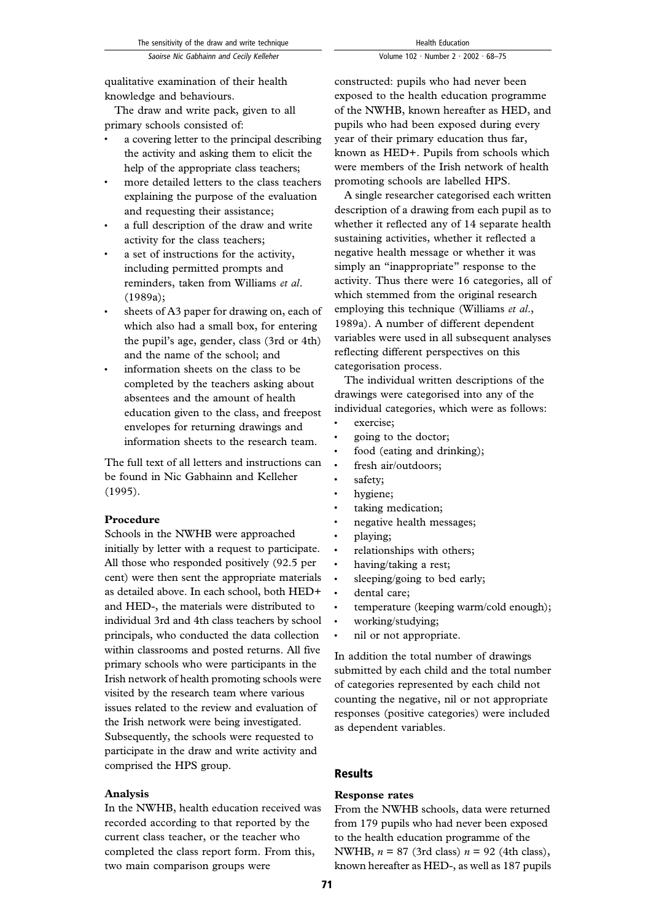#### Volume 102 · Number 2 · 2002 · 68-75

qualitative examination of their health knowledge and behaviours.

The draw and write pack, given to all primary schools consisted of:

- a covering letter to the principal describing the activity and asking them to elicit the help of the appropriate class teachers;
- more detailed letters to the class teachers explaining the purpose of the evaluation and requesting their assistance;
- a full description of the draw and write activity for the class teachers;
- a set of instructions for the activity, including permitted prompts and reminders, taken from Williams et al.  $(1989a);$
- sheets of A3 paper for drawing on, each of which also had a small box, for entering the pupil's age, gender, class (3rd or 4th) and the name of the school; and
- information sheets on the class to be completed by the teachers asking about absentees and the amount of health education given to the class, and freepost envelopes for returning drawings and information sheets to the research team.

The full text of all letters and instructions can be found in Nic Gabhainn and Kelleher  $(1995).$ 

### Procedure

Schools in the NWHB were approached initially by letter with a request to participate. All those who responded positively (92.5 per cent) were then sent the appropriate materials as detailed above. In each school, both HED+ and HED-, the materials were distributed to individual 3rd and 4th class teachers by school principals, who conducted the data collection within classrooms and posted returns. All five primary schools who were participants in the Irish network of health promoting schools were visited by the research team where various issues related to the review and evaluation of the Irish network were being investigated. Subsequently, the schools were requested to participate in the draw and write activity and comprised the HPS group.

### **Analysis**

In the NWHB, health education received was recorded according to that reported by the current class teacher, or the teacher who completed the class report form. From this, two main comparison groups were

constructed: pupils who had never been exposed to the health education programme of the NWHB, known hereafter as HED, and pupils who had been exposed during every year of their primary education thus far, known as HED+. Pupils from schools which were members of the Irish network of health promoting schools are labelled HPS.

A single researcher categorised each written description of a drawing from each pupil as to whether it reflected any of 14 separate health sustaining activities, whether it reflected a negative health message or whether it was simply an "inappropriate" response to the activity. Thus there were 16 categories, all of which stemmed from the original research employing this technique (Williams et al., 1989a). A number of different dependent variables were used in all subsequent analyses reflecting different perspectives on this categorisation process.

The individual written descriptions of the drawings were categorised into any of the individual categories, which were as follows:

- exercise;
- going to the doctor;
- food (eating and drinking);
- fresh air/outdoors;
- safety;
- hygiene;
- taking medication;
- negative health messages:
- playing;
- relationships with others;
- having/taking a rest;
- sleeping/going to bed early;
- dental care;
- temperature (keeping warm/cold enough);
- working/studying;  $\ddot{\phantom{0}}$
- nil or not appropriate.

In addition the total number of drawings submitted by each child and the total number of categories represented by each child not counting the negative, nil or not appropriate responses (positive categories) were included as dependent variables.

## **Results**

### **Response rates**

From the NWHB schools, data were returned from 179 pupils who had never been exposed to the health education programme of the NWHB,  $n = 87$  (3rd class)  $n = 92$  (4th class), known hereafter as HED-, as well as 187 pupils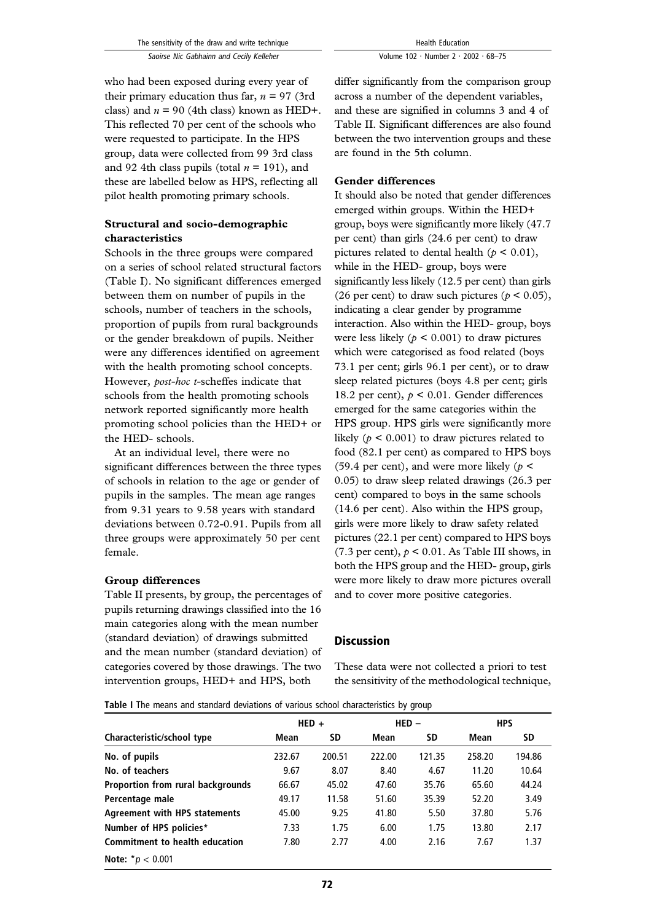who had been exposed during every year of their primary education thus far,  $n = 97$  (3rd class) and  $n = 90$  (4th class) known as HED+. This reflected 70 per cent of the schools who were requested to participate. In the HPS group, data were collected from 99 3rd class and 92 4th class pupils (total  $n = 191$ ), and these are labelled below as HPS, reflecting all pilot health promoting primary schools.

## Structural and socio-demographic characteristics

Schools in the three groups were compared on a series of school related structural factors (Table I). No significant differences emerged between them on number of pupils in the schools, number of teachers in the schools, proportion of pupils from rural backgrounds or the gender breakdown of pupils. Neither were any differences identified on agreement with the health promoting school concepts. However, *post-hoc t*-scheffes indicate that schools from the health promoting schools network reported significantly more health promoting school policies than the HED+ or the HED- schools.

At an individual level, there were no significant differences between the three types of schools in relation to the age or gender of pupils in the samples. The mean age ranges from 9.31 years to 9.58 years with standard deviations between 0.72-0.91. Pupils from all three groups were approximately 50 per cent female.

## **Group differences**

Table II presents, by group, the percentages of pupils returning drawings classified into the 16 main categories along with the mean number (standard deviation) of drawings submitted and the mean number (standard deviation) of categories covered by those drawings. The two intervention groups, HED+ and HPS, both

differ significantly from the comparison group across a number of the dependent variables, and these are signified in columns 3 and 4 of Table II. Significant differences are also found between the two intervention groups and these are found in the 5th column.

## **Gender differences**

It should also be noted that gender differences emerged within groups. Within the HED+ group, boys were significantly more likely (47.7) per cent) than girls (24.6 per cent) to draw pictures related to dental health ( $p < 0.01$ ), while in the HED- group, boys were significantly less likely (12.5 per cent) than girls (26 per cent) to draw such pictures ( $p < 0.05$ ), indicating a clear gender by programme interaction. Also within the HED- group, boys were less likely ( $p < 0.001$ ) to draw pictures which were categorised as food related (boys 73.1 per cent; girls 96.1 per cent), or to draw sleep related pictures (boys 4.8 per cent; girls 18.2 per cent),  $p < 0.01$ . Gender differences emerged for the same categories within the HPS group. HPS girls were significantly more likely ( $p < 0.001$ ) to draw pictures related to food (82.1 per cent) as compared to HPS boys (59.4 per cent), and were more likely ( $p <$ 0.05) to draw sleep related drawings (26.3 per cent) compared to boys in the same schools (14.6 per cent). Also within the HPS group, girls were more likely to draw safety related pictures (22.1 per cent) compared to HPS boys  $(7.3$  per cent),  $p < 0.01$ . As Table III shows, in both the HPS group and the HED- group, girls were more likely to draw more pictures overall and to cover more positive categories.

# **Discussion**

These data were not collected a priori to test the sensitivity of the methodological technique,

Table I The means and standard deviations of various school characteristics by group

|                                      | $HED +$ |        |        | $HED -$ | <b>HPS</b> |        |
|--------------------------------------|---------|--------|--------|---------|------------|--------|
| Characteristic/school type           | Mean    | SD     | Mean   | SD      | Mean       | SD     |
| No. of pupils                        | 232.67  | 200.51 | 222.00 | 121.35  | 258.20     | 194.86 |
| No. of teachers                      | 9.67    | 8.07   | 8.40   | 4.67    | 11.20      | 10.64  |
| Proportion from rural backgrounds    | 66.67   | 45.02  | 47.60  | 35.76   | 65.60      | 44.24  |
| Percentage male                      | 49.17   | 11.58  | 51.60  | 35.39   | 52.20      | 3.49   |
| <b>Agreement with HPS statements</b> | 45.00   | 9.25   | 41.80  | 5.50    | 37.80      | 5.76   |
| Number of HPS policies*              | 7.33    | 1.75   | 6.00   | 1.75    | 13.80      | 2.17   |
| Commitment to health education       | 7.80    | 2.77   | 4.00   | 2.16    | 7.67       | 1.37   |
| Note: $* p < 0.001$                  |         |        |        |         |            |        |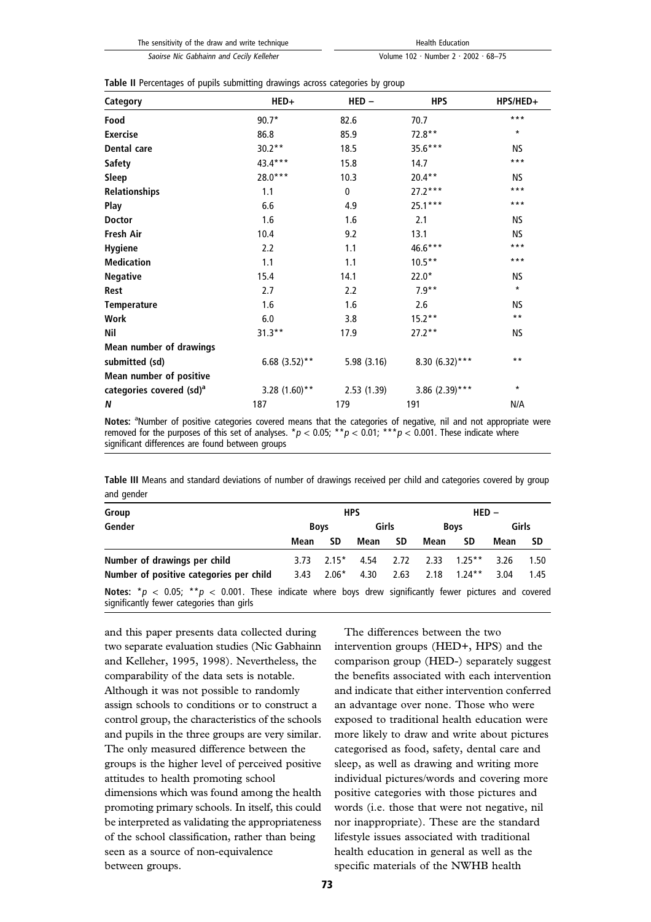| Saoirse Nic Gabhainn and Cecily Kelleher |  |  |  |
|------------------------------------------|--|--|--|
|------------------------------------------|--|--|--|

Volume 102 · Number 2 · 2002 · 68-75

| Category                             | HED+             | $HED -$     | <b>HPS</b>      | HPS/HED+  |
|--------------------------------------|------------------|-------------|-----------------|-----------|
| Food                                 | $90.7*$          | 82.6        | 70.7            | ***       |
| <b>Exercise</b>                      | 86.8             | 85.9        | $72.8**$        | *         |
| Dental care                          | $30.2**$         | 18.5        | 35.6***         | <b>NS</b> |
| <b>Safety</b>                        | $43.4***$        | 15.8        | 14.7            | ***       |
| Sleep                                | 28.0***          | 10.3        | $20.4***$       | ΝS        |
| <b>Relationships</b>                 | 1.1              | $\mathbf 0$ | $27.2***$       | ***       |
| Play                                 | 6.6              | 4.9         | $25.1***$       | ***       |
| <b>Doctor</b>                        | 1.6              | 1.6         | 2.1             | NS.       |
| <b>Fresh Air</b>                     | 10.4             | 9.2         | 13.1            | <b>NS</b> |
| <b>Hygiene</b>                       | 2.2              | 1.1         | 46.6***         | ***       |
| <b>Medication</b>                    | 1.1              | 1.1         | $10.5**$        | ***       |
| <b>Negative</b>                      | 15.4             | 14.1        | $22.0*$         | <b>NS</b> |
| Rest                                 | 2.7              | 2.2         | $7.9**$         | $\star$   |
| <b>Temperature</b>                   | 1.6              | 1.6         | 2.6             | <b>NS</b> |
| Work                                 | 6.0              | 3.8         | $15.2**$        | $***$     |
| Nil                                  | $31.3***$        | 17.9        | $27.2**$        | <b>NS</b> |
| <b>Mean number of drawings</b>       |                  |             |                 |           |
| submitted (sd)                       | 6.68 $(3.52)$ ** | 5.98(3.16)  | 8.30 (6.32)***  | **        |
| Mean number of positive              |                  |             |                 |           |
| categories covered (sd) <sup>a</sup> | 3.28 $(1.60)$ ** | 2.53(1.39)  | 3.86 (2.39) *** | *         |
| Ν                                    | 187              | 179         | 191             | N/A       |

| Table II Percentages of pupils submitting drawings across categories by group |  |  |  |  |
|-------------------------------------------------------------------------------|--|--|--|--|

Notes: <sup>a</sup>Number of positive categories covered means that the categories of negative, nil and not appropriate were removed for the purposes of this set of analyses. \*p < 0.05; \*\*p < 0.01; \*\*\*p < 0.001. These indicate where significant differences are found between groups

Table III Means and standard deviations of number of drawings received per child and categories covered by group and gender

| Group                                                                                                                        | <b>HPS</b>  |           |       |           | $HED -$     |           |       |      |
|------------------------------------------------------------------------------------------------------------------------------|-------------|-----------|-------|-----------|-------------|-----------|-------|------|
| Gender                                                                                                                       | <b>Boys</b> |           | Girls |           | <b>Boys</b> |           | Girls |      |
|                                                                                                                              | Mean        | <b>SD</b> | Mean  | <b>SD</b> | Mean        | SD        | Mean  | -SD  |
| Number of drawings per child                                                                                                 | 3.73        | $2.15*$   | 4.54  | 2.72      | 2.33        | $1.25***$ | 3.26  | 1.50 |
| Number of positive categories per child                                                                                      | 3.43        | $2.06*$   | 4.30  | 2.63      | 2.18        | $1.24**$  | 3.04  | 1.45 |
| <b>Notes:</b> $*$ $\sim$ 0.05; $*$ $*$ $\sim$ 0.001. These indicate where hoys drew significantly fewer pictures and covered |             |           |       |           |             |           |       |      |

drew significantly fewer pictures and covered significantly fewer categories than girls

and this paper presents data collected during two separate evaluation studies (Nic Gabhainn and Kelleher, 1995, 1998). Nevertheless, the comparability of the data sets is notable. Although it was not possible to randomly assign schools to conditions or to construct a control group, the characteristics of the schools and pupils in the three groups are very similar. The only measured difference between the groups is the higher level of perceived positive attitudes to health promoting school dimensions which was found among the health promoting primary schools. In itself, this could be interpreted as validating the appropriateness of the school classification, rather than being seen as a source of non-equivalence between groups.

The differences between the two intervention groups (HED+, HPS) and the comparison group (HED-) separately suggest the benefits associated with each intervention and indicate that either intervention conferred an advantage over none. Those who were exposed to traditional health education were more likely to draw and write about pictures categorised as food, safety, dental care and sleep, as well as drawing and writing more individual pictures/words and covering more positive categories with those pictures and words (i.e. those that were not negative, nil nor inappropriate). These are the standard lifestyle issues associated with traditional health education in general as well as the specific materials of the NWHB health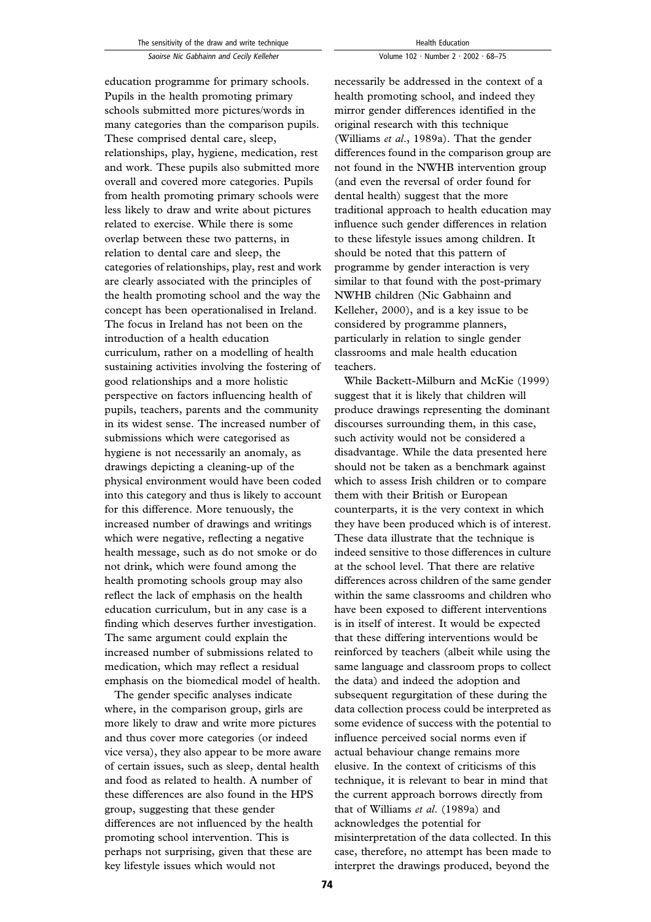education programme for primary schools. Pupils in the health promoting primary schools submitted more pictures/words in many categories than the comparison pupils. These comprised dental care, sleep, relationships, play, hygiene, medication, rest and work. These pupils also submitted more overall and covered more categories. Pupils from health promoting primary schools were less likely to draw and write about pictures related to exercise. While there is some overlap between these two patterns, in relation to dental care and sleep, the categories of relationships, play, rest and work are clearly associated with the principles of the health promoting school and the way the concept has been operationalised in Ireland. The focus in Ireland has not been on the introduction of a health education curriculum, rather on a modelling of health sustaining activities involving the fostering of good relationships and a more holistic perspective on factors influencing health of pupils, teachers, parents and the community in its widest sense. The increased number of submissions which were categorised as hygiene is not necessarily an anomaly, as drawings depicting a cleaning-up of the physical environment would have been coded into this category and thus is likely to account for this difference. More tenuously, the increased number of drawings and writings which were negative, reflecting a negative health message, such as do not smoke or do not drink, which were found among the health promoting schools group may also reflect the lack of emphasis on the health education curriculum, but in any case is a finding which deserves further investigation. The same argument could explain the increased number of submissions related to medication, which may reflect a residual emphasis on the biomedical model of health.

The gender specific analyses indicate where, in the comparison group, girls are more likely to draw and write more pictures and thus cover more categories (or indeed vice versa), they also appear to be more aware of certain issues, such as sleep, dental health and food as related to health. A number of these differences are also found in the HPS group, suggesting that these gender differences are not influenced by the health promoting school intervention. This is perhaps not surprising, given that these are key lifestyle issues which would not

necessarily be addressed in the context of a health promoting school, and indeed they mirror gender differences identified in the original research with this technique (Williams et al., 1989a). That the gender differences found in the comparison group are not found in the NWHB intervention group (and even the reversal of order found for dental health) suggest that the more traditional approach to health education may influence such gender differences in relation to these lifestyle issues among children. It should be noted that this pattern of programme by gender interaction is very similar to that found with the post-primary NWHB children (Nic Gabhainn and Kelleher, 2000), and is a key issue to be considered by programme planners, particularly in relation to single gender classrooms and male health education teachers.

While Backett-Milburn and McKie (1999) suggest that it is likely that children will produce drawings representing the dominant discourses surrounding them, in this case, such activity would not be considered a disadvantage. While the data presented here should not be taken as a benchmark against which to assess Irish children or to compare them with their British or European counterparts, it is the very context in which they have been produced which is of interest. These data illustrate that the technique is indeed sensitive to those differences in culture at the school level. That there are relative differences across children of the same gender within the same classrooms and children who have been exposed to different interventions is in itself of interest. It would be expected that these differing interventions would be reinforced by teachers (albeit while using the same language and classroom props to collect the data) and indeed the adoption and subsequent regurgitation of these during the data collection process could be interpreted as some evidence of success with the potential to influence perceived social norms even if actual behaviour change remains more elusive. In the context of criticisms of this technique, it is relevant to bear in mind that the current approach borrows directly from that of Williams et al. (1989a) and acknowledges the potential for misinterpretation of the data collected. In this case, therefore, no attempt has been made to interpret the drawings produced, beyond the